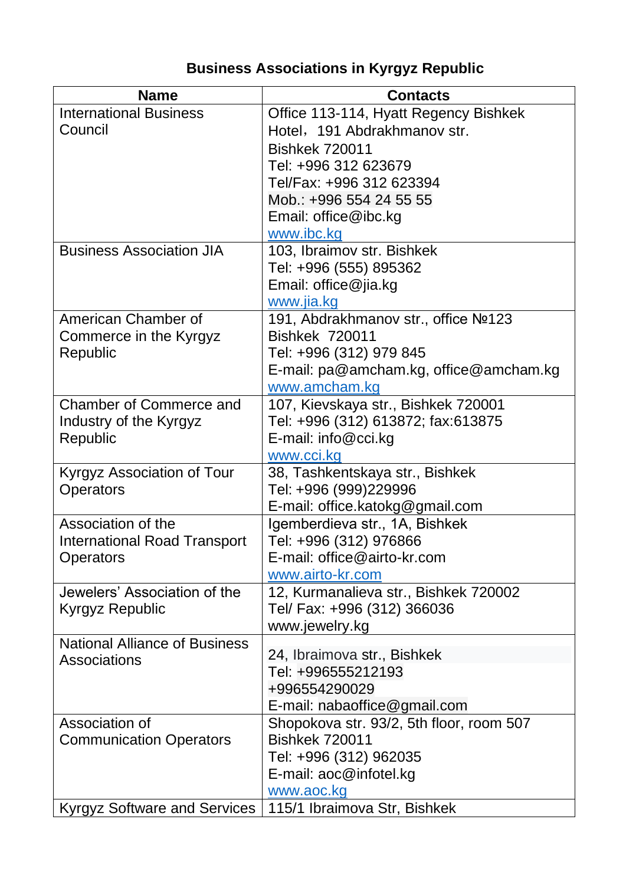## **Business Associations in Kyrgyz Republic**

| <b>Name</b>                          | <b>Contacts</b>                          |
|--------------------------------------|------------------------------------------|
| <b>International Business</b>        | Office 113-114, Hyatt Regency Bishkek    |
| Council                              | Hotel, 191 Abdrakhmanov str.             |
|                                      | <b>Bishkek 720011</b>                    |
|                                      | Tel: +996 312 623679                     |
|                                      | Tel/Fax: +996 312 623394                 |
|                                      | Mob.: +996 554 24 55 55                  |
|                                      | Email: office@ibc.kg                     |
|                                      | www.ibc.kg                               |
| <b>Business Association JIA</b>      | 103, Ibraimov str. Bishkek               |
|                                      | Tel: +996 (555) 895362                   |
|                                      | Email: office@jia.kg                     |
|                                      | www.jia.kg                               |
| American Chamber of                  | 191, Abdrakhmanov str., office Nº123     |
| Commerce in the Kyrgyz               | <b>Bishkek 720011</b>                    |
| Republic                             | Tel: +996 (312) 979 845                  |
|                                      | E-mail: pa@amcham.kg, office@amcham.kg   |
|                                      | www.amcham.kg                            |
| <b>Chamber of Commerce and</b>       | 107, Kievskaya str., Bishkek 720001      |
| Industry of the Kyrgyz               | Tel: +996 (312) 613872; fax:613875       |
| Republic                             | E-mail: info@cci.kg                      |
|                                      | www.cci.kg                               |
| Kyrgyz Association of Tour           | 38, Tashkentskaya str., Bishkek          |
| Operators                            | Tel: +996 (999)229996                    |
|                                      | E-mail: office.katokg@gmail.com          |
| Association of the                   | Igemberdieva str., 1A, Bishkek           |
| <b>International Road Transport</b>  | Tel: +996 (312) 976866                   |
| Operators                            | E-mail: office@airto-kr.com              |
|                                      | www.airto-kr.com                         |
| Jewelers' Association of the         | 12, Kurmanalieva str., Bishkek 720002    |
| Kyrgyz Republic                      | Tel/ Fax: +996 (312) 366036              |
|                                      | www.jewelry.kg                           |
| <b>National Alliance of Business</b> | 24, Ibraimova str., Bishkek              |
| <b>Associations</b>                  | Tel: +996555212193                       |
|                                      | +996554290029                            |
|                                      | E-mail: nabaoffice@gmail.com             |
| Association of                       | Shopokova str. 93/2, 5th floor, room 507 |
| <b>Communication Operators</b>       | <b>Bishkek 720011</b>                    |
|                                      | Tel: +996 (312) 962035                   |
|                                      | E-mail: aoc@infotel.kg                   |
|                                      | www.aoc.kg                               |
| <b>Kyrgyz Software and Services</b>  | 115/1 Ibraimova Str, Bishkek             |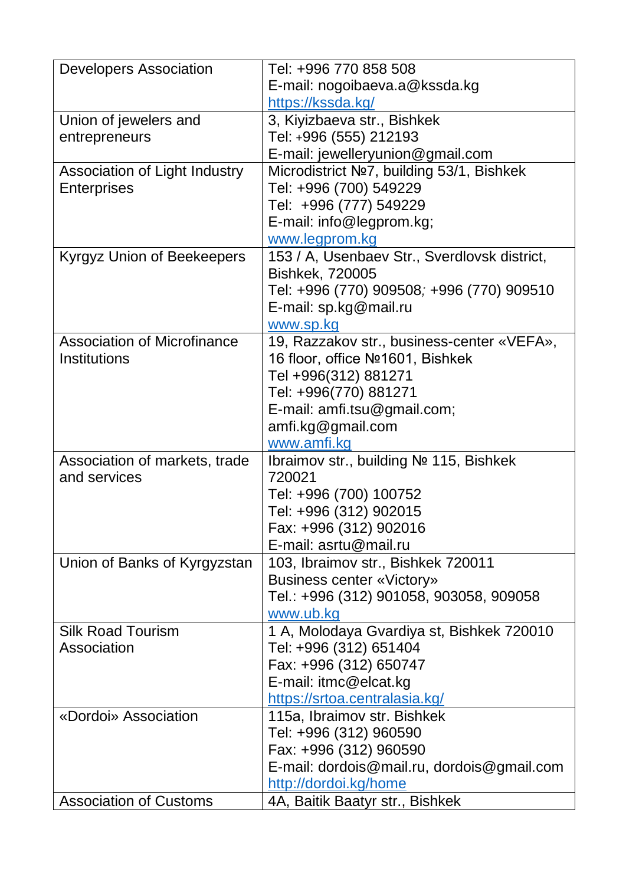| <b>Developers Association</b>      | Tel: +996 770 858 508                             |
|------------------------------------|---------------------------------------------------|
|                                    | E-mail: nogoibaeva.a@kssda.kg                     |
|                                    | https://kssda.kg/                                 |
| Union of jewelers and              | 3, Kiyizbaeva str., Bishkek                       |
| entrepreneurs                      | Tel: +996 (555) 212193                            |
|                                    | E-mail: jewelleryunion@gmail.com                  |
| Association of Light Industry      | Microdistrict Nº7, building 53/1, Bishkek         |
| <b>Enterprises</b>                 | Tel: +996 (700) 549229                            |
|                                    | Tel: +996 (777) 549229                            |
|                                    | E-mail: info@legprom.kg;                          |
|                                    | www.legprom.kg                                    |
| Kyrgyz Union of Beekeepers         | 153 / A, Usenbaev Str., Sverdlovsk district,      |
|                                    | <b>Bishkek, 720005</b>                            |
|                                    | Tel: +996 (770) 909508 <i>;</i> +996 (770) 909510 |
|                                    | E-mail: sp.kg@mail.ru                             |
|                                    | www.sp.kg                                         |
| <b>Association of Microfinance</b> | 19, Razzakov str., business-center «VEFA»,        |
| <b>Institutions</b>                | 16 floor, office Nº1601, Bishkek                  |
|                                    | Tel +996(312) 881271                              |
|                                    | Tel: +996(770) 881271                             |
|                                    | E-mail: amfi.tsu@gmail.com;                       |
|                                    | amfi.kg@gmail.com                                 |
|                                    | www.amfi.kg                                       |
| Association of markets, trade      | Ibraimov str., building Nº 115, Bishkek           |
| and services                       | 720021                                            |
|                                    | Tel: +996 (700) 100752                            |
|                                    | Tel: +996 (312) 902015                            |
|                                    | Fax: +996 (312) 902016                            |
|                                    | E-mail: asrtu@mail.ru                             |
| Union of Banks of Kyrgyzstan       | 103, Ibraimov str., Bishkek 720011                |
|                                    | <b>Business center «Victory»</b>                  |
|                                    | Tel.: +996 (312) 901058, 903058, 909058           |
|                                    | www.ub.kg                                         |
| <b>Silk Road Tourism</b>           | 1 A, Molodaya Gvardiya st, Bishkek 720010         |
| Association                        | Tel: +996 (312) 651404                            |
|                                    | Fax: +996 (312) 650747                            |
|                                    | E-mail: itmc@elcat.kg                             |
|                                    | https://srtoa.centralasia.kg/                     |
| «Dordoi» Association               | 115a, Ibraimov str. Bishkek                       |
|                                    | Tel: +996 (312) 960590                            |
|                                    | Fax: +996 (312) 960590                            |
|                                    | E-mail: dordois@mail.ru, dordois@gmail.com        |
|                                    | http://dordoi.kg/home                             |
| <b>Association of Customs</b>      | 4A, Baitik Baatyr str., Bishkek                   |
|                                    |                                                   |